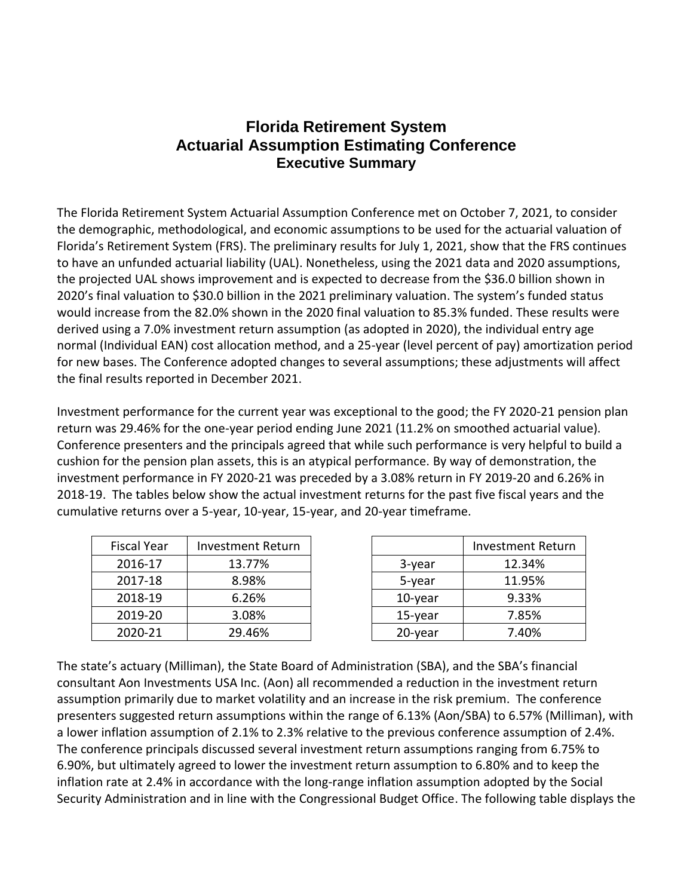## **Florida Retirement System Actuarial Assumption Estimating Conference Executive Summary**

The Florida Retirement System Actuarial Assumption Conference met on October 7, 2021, to consider the demographic, methodological, and economic assumptions to be used for the actuarial valuation of Florida's Retirement System (FRS). The preliminary results for July 1, 2021, show that the FRS continues to have an unfunded actuarial liability (UAL). Nonetheless, using the 2021 data and 2020 assumptions, the projected UAL shows improvement and is expected to decrease from the \$36.0 billion shown in 2020's final valuation to \$30.0 billion in the 2021 preliminary valuation. The system's funded status would increase from the 82.0% shown in the 2020 final valuation to 85.3% funded. These results were derived using a 7.0% investment return assumption (as adopted in 2020), the individual entry age normal (Individual EAN) cost allocation method, and a 25-year (level percent of pay) amortization period for new bases. The Conference adopted changes to several assumptions; these adjustments will affect the final results reported in December 2021.

Investment performance for the current year was exceptional to the good; the FY 2020-21 pension plan return was 29.46% for the one-year period ending June 2021 (11.2% on smoothed actuarial value). Conference presenters and the principals agreed that while such performance is very helpful to build a cushion for the pension plan assets, this is an atypical performance. By way of demonstration, the investment performance in FY 2020-21 was preceded by a 3.08% return in FY 2019-20 and 6.26% in 2018-19. The tables below show the actual investment returns for the past five fiscal years and the cumulative returns over a 5-year, 10-year, 15-year, and 20-year timeframe.

| <b>Fiscal Year</b> | <b>Investment Return</b> |            | Investment R |
|--------------------|--------------------------|------------|--------------|
| 2016-17            | 13.77%                   | 3-year     | 12.34%       |
| 2017-18            | 8.98%                    | 5-year     | 11.95%       |
| 2018-19            | 6.26%                    | $10$ -year | 9.33%        |
| 2019-20            | 3.08%                    | 15-year    | 7.85%        |
| 2020-21            | 29.46%                   | 20-year    | 7.40%        |

| Fiscal Year | <b>Investment Return</b> |            | <b>Investment Return</b> |
|-------------|--------------------------|------------|--------------------------|
| 2016-17     | 13.77%                   | 3-year     | 12.34%                   |
| 2017-18     | 8.98%                    | 5-year     | 11.95%                   |
| 2018-19     | 6.26%                    | $10$ -year | 9.33%                    |
| 2019-20     | 3.08%                    | 15-year    | 7.85%                    |
| 2020-21     | 29.46%                   | 20-year    | 7.40%                    |

The state's actuary (Milliman), the State Board of Administration (SBA), and the SBA's financial consultant Aon Investments USA Inc. (Aon) all recommended a reduction in the investment return assumption primarily due to market volatility and an increase in the risk premium. The conference presenters suggested return assumptions within the range of 6.13% (Aon/SBA) to 6.57% (Milliman), with a lower inflation assumption of 2.1% to 2.3% relative to the previous conference assumption of 2.4%. The conference principals discussed several investment return assumptions ranging from 6.75% to 6.90%, but ultimately agreed to lower the investment return assumption to 6.80% and to keep the inflation rate at 2.4% in accordance with the long-range inflation assumption adopted by the Social Security Administration and in line with the Congressional Budget Office. The following table displays the